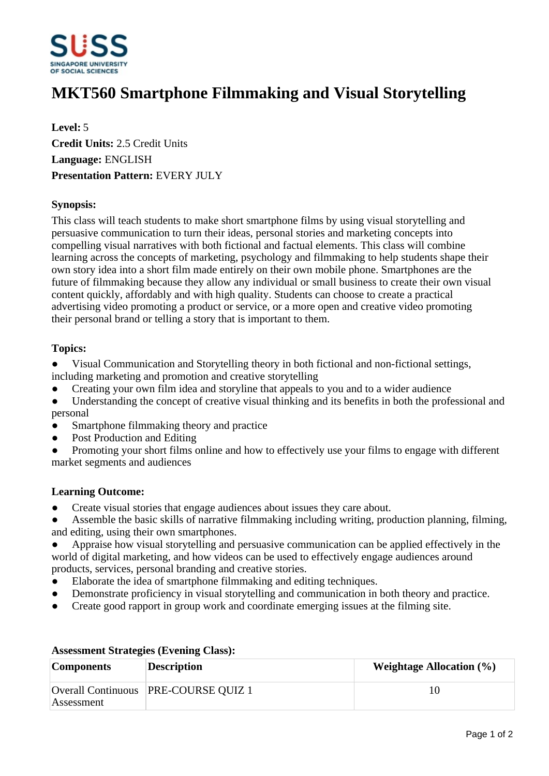

# **MKT560 Smartphone Filmmaking and Visual Storytelling**

**Level:** 5 **Credit Units:** 2.5 Credit Units **Language:** ENGLISH **Presentation Pattern:** EVERY JULY

## **Synopsis:**

This class will teach students to make short smartphone films by using visual storytelling and persuasive communication to turn their ideas, personal stories and marketing concepts into compelling visual narratives with both fictional and factual elements. This class will combine learning across the concepts of marketing, psychology and filmmaking to help students shape their own story idea into a short film made entirely on their own mobile phone. Smartphones are the future of filmmaking because they allow any individual or small business to create their own visual content quickly, affordably and with high quality. Students can choose to create a practical advertising video promoting a product or service, or a more open and creative video promoting their personal brand or telling a story that is important to them.

### **Topics:**

- Visual Communication and Storytelling theory in both fictional and non-fictional settings, including marketing and promotion and creative storytelling
- Creating your own film idea and storyline that appeals to you and to a wider audience
- Understanding the concept of creative visual thinking and its benefits in both the professional and personal
- Smartphone filmmaking theory and practice
- Post Production and Editing
- Promoting your short films online and how to effectively use your films to engage with different market segments and audiences

### **Learning Outcome:**

- ƔCreate visual stories that engage audiences about issues they care about.
- Assemble the basic skills of narrative filmmaking including writing, production planning, filming, and editing, using their own smartphones.
- Appraise how visual storytelling and persuasive communication can be applied effectively in the world of digital marketing, and how videos can be used to effectively engage audiences around products, services, personal branding and creative stories.
- ƔElaborate the idea of smartphone filmmaking and editing techniques.
- Demonstrate proficiency in visual storytelling and communication in both theory and practice.
- Create good rapport in group work and coordinate emerging issues at the filming site.

| <b>Components</b> | <b>Description</b>                   | Weightage Allocation $(\% )$ |
|-------------------|--------------------------------------|------------------------------|
| Assessment        | Overall Continuous PRE-COURSE QUIZ 1 | 10                           |

### **Assessment Strategies (Evening Class):**